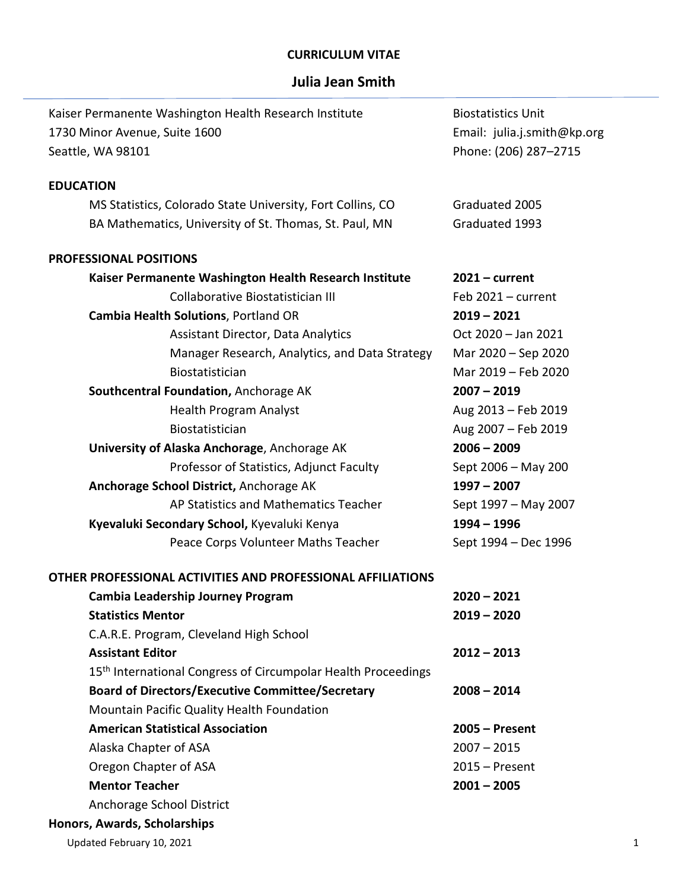## **CURRICULUM VITAE**

## **Julia Jean Smith**

| Kaiser Permanente Washington Health Research Institute                    | <b>Biostatistics Unit</b>   |  |  |
|---------------------------------------------------------------------------|-----------------------------|--|--|
| 1730 Minor Avenue, Suite 1600                                             | Email: julia.j.smith@kp.org |  |  |
| Seattle, WA 98101                                                         | Phone: (206) 287-2715       |  |  |
| <b>EDUCATION</b>                                                          |                             |  |  |
| MS Statistics, Colorado State University, Fort Collins, CO                | Graduated 2005              |  |  |
| BA Mathematics, University of St. Thomas, St. Paul, MN                    | Graduated 1993              |  |  |
|                                                                           |                             |  |  |
| <b>PROFESSIONAL POSITIONS</b>                                             |                             |  |  |
| Kaiser Permanente Washington Health Research Institute                    | $2021 - current$            |  |  |
| Collaborative Biostatistician III                                         | Feb $2021 - current$        |  |  |
| <b>Cambia Health Solutions, Portland OR</b>                               | $2019 - 2021$               |  |  |
| <b>Assistant Director, Data Analytics</b>                                 | Oct 2020 - Jan 2021         |  |  |
| Manager Research, Analytics, and Data Strategy                            | Mar 2020 - Sep 2020         |  |  |
| Biostatistician                                                           | Mar 2019 - Feb 2020         |  |  |
| Southcentral Foundation, Anchorage AK                                     | $2007 - 2019$               |  |  |
| <b>Health Program Analyst</b>                                             | Aug 2013 - Feb 2019         |  |  |
| Biostatistician                                                           | Aug 2007 - Feb 2019         |  |  |
| University of Alaska Anchorage, Anchorage AK                              | $2006 - 2009$               |  |  |
| Professor of Statistics, Adjunct Faculty                                  | Sept 2006 - May 200         |  |  |
| Anchorage School District, Anchorage AK                                   | $1997 - 2007$               |  |  |
| AP Statistics and Mathematics Teacher                                     | Sept 1997 - May 2007        |  |  |
| Kyevaluki Secondary School, Kyevaluki Kenya                               | $1994 - 1996$               |  |  |
| Peace Corps Volunteer Maths Teacher                                       | Sept 1994 - Dec 1996        |  |  |
| OTHER PROFESSIONAL ACTIVITIES AND PROFESSIONAL AFFILIATIONS               |                             |  |  |
| Cambia Leadership Journey Program                                         | $2020 - 2021$               |  |  |
| <b>Statistics Mentor</b>                                                  | $2019 - 2020$               |  |  |
| C.A.R.E. Program, Cleveland High School                                   |                             |  |  |
| <b>Assistant Editor</b>                                                   | $2012 - 2013$               |  |  |
| 15 <sup>th</sup> International Congress of Circumpolar Health Proceedings |                             |  |  |
| <b>Board of Directors/Executive Committee/Secretary</b>                   | $2008 - 2014$               |  |  |
| Mountain Pacific Quality Health Foundation                                |                             |  |  |
| <b>American Statistical Association</b>                                   | $2005 -$ Present            |  |  |
| Alaska Chapter of ASA                                                     | $2007 - 2015$               |  |  |
| Oregon Chapter of ASA                                                     | $2015 -$ Present            |  |  |
| <b>Mentor Teacher</b>                                                     | $2001 - 2005$               |  |  |
| Anchorage School District                                                 |                             |  |  |
| Honors, Awards, Scholarships                                              |                             |  |  |
| Updated February 10, 2021                                                 | 1                           |  |  |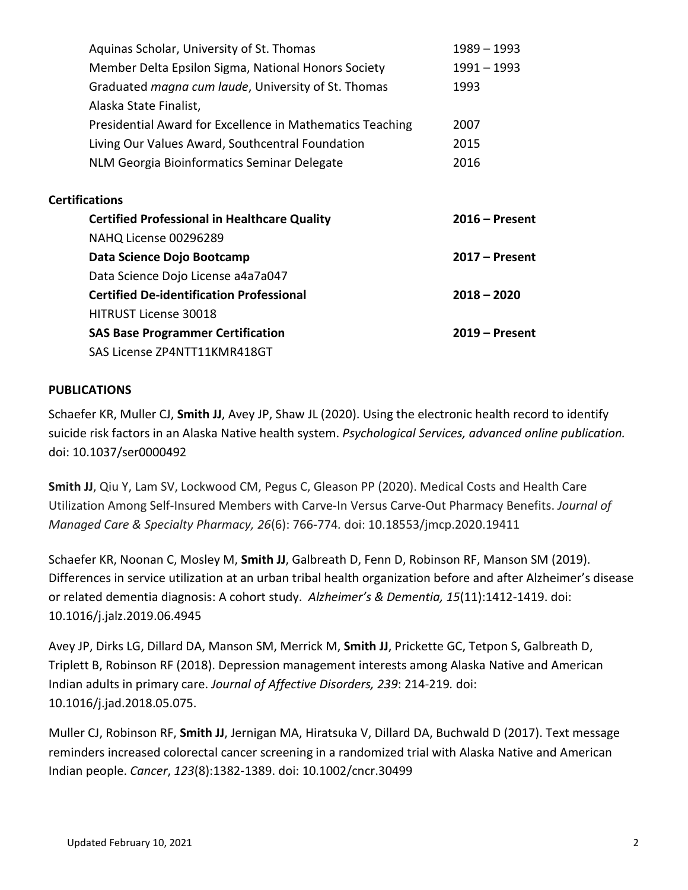|                       | Aquinas Scholar, University of St. Thomas                   | 1989 – 1993      |
|-----------------------|-------------------------------------------------------------|------------------|
|                       | Member Delta Epsilon Sigma, National Honors Society         | $1991 - 1993$    |
|                       | Graduated <i>magna cum laude</i> , University of St. Thomas | 1993             |
|                       | Alaska State Finalist,                                      |                  |
|                       | Presidential Award for Excellence in Mathematics Teaching   | 2007             |
|                       | Living Our Values Award, Southcentral Foundation            | 2015             |
|                       | NLM Georgia Bioinformatics Seminar Delegate                 | 2016             |
|                       |                                                             |                  |
| <b>Certifications</b> |                                                             |                  |
|                       | <b>Certified Professional in Healthcare Quality</b>         | $2016 -$ Present |
|                       | NAHQ License 00296289                                       |                  |
|                       | Data Science Dojo Bootcamp                                  | $2017 -$ Present |
|                       | Data Science Dojo License a4a7a047                          |                  |
|                       | <b>Certified De-identification Professional</b>             | $2018 - 2020$    |
|                       | <b>HITRUST License 30018</b>                                |                  |
|                       | <b>SAS Base Programmer Certification</b>                    | $2019 -$ Present |
|                       | SAS License ZP4NTT11KMR418GT                                |                  |

## **PUBLICATIONS**

Schaefer KR, Muller CJ, **Smith JJ**, Avey JP, Shaw JL (2020). Using the electronic health record to identify suicide risk factors in an Alaska Native health system. *Psychological Services, advanced online publication.* doi: 10.1037/ser0000492

**Smith JJ**, Qiu Y, Lam SV, Lockwood CM, Pegus C, Gleason PP (2020). Medical Costs and Health Care Utilization Among Self-Insured Members with Carve-In Versus Carve-Out Pharmacy Benefits. *Journal of Managed Care & Specialty Pharmacy, 26*(6): 766-774*.* doi: 10.18553/jmcp.2020.19411

Schaefer KR, Noonan C, Mosley M, **Smith JJ**, Galbreath D, Fenn D, Robinson RF, Manson SM (2019). Differences in service utilization at an urban tribal health organization before and after Alzheimer's disease or related dementia diagnosis: A cohort study. *Alzheimer's & Dementia, 15*(11):1412-1419. doi: 10.1016/j.jalz.2019.06.4945

Avey JP, Dirks LG, Dillard DA, Manson SM, Merrick M, **Smith JJ**, Prickette GC, Tetpon S, Galbreath D, Triplett B, Robinson RF (2018). Depression management interests among Alaska Native and American Indian adults in primary care. *Journal of Affective Disorders, 239*: 214-219*.* doi: 10.1016/j.jad.2018.05.075.

Muller CJ, Robinson RF, **Smith JJ**, Jernigan MA, Hiratsuka V, Dillard DA, Buchwald D (2017). Text message reminders increased colorectal cancer screening in a randomized trial with Alaska Native and American Indian people. *Cancer*, *123*(8):1382-1389. doi: 10.1002/cncr.30499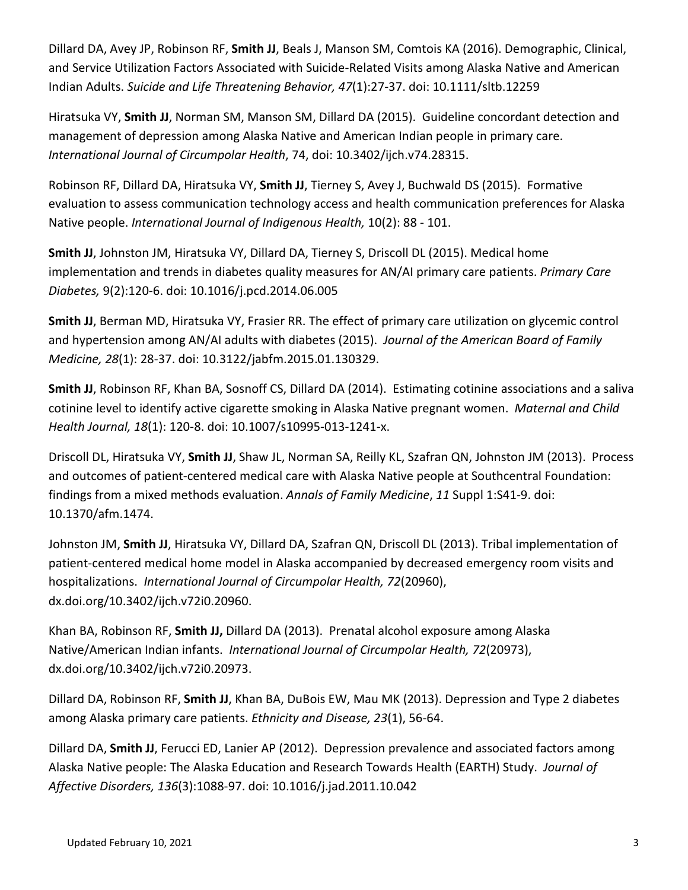Dillard DA, Avey JP, Robinson RF, **Smith JJ**, Beals J, Manson SM, Comtois KA (2016). Demographic, Clinical, and Service Utilization Factors Associated with Suicide-Related Visits among Alaska Native and American Indian Adults. *Suicide and Life Threatening Behavior, 47*(1):27-37. doi: 10.1111/sltb.12259

Hiratsuka VY, **Smith JJ**, Norman SM, Manson SM, Dillard DA (2015). Guideline concordant detection and management of depression among Alaska Native and American Indian people in primary care. *International Journal of Circumpolar Health*, 74, doi: 10.3402/ijch.v74.28315.

Robinson RF, Dillard DA, Hiratsuka VY, **Smith JJ**, Tierney S, Avey J, Buchwald DS (2015). Formative evaluation to assess communication technology access and health communication preferences for Alaska Native people. *International Journal of Indigenous Health,* 10(2): 88 - 101.

**Smith JJ**, Johnston JM, Hiratsuka VY, Dillard DA, Tierney S, Driscoll DL (2015). Medical home implementation and trends in diabetes quality measures for AN/AI primary care patients. *Primary Care Diabetes,* 9(2):120-6. doi: 10.1016/j.pcd.2014.06.005

**Smith JJ**, Berman MD, Hiratsuka VY, Frasier RR. The effect of primary care utilization on glycemic control and hypertension among AN/AI adults with diabetes (2015). *Journal of the American Board of Family Medicine, 28*(1): 28-37. doi: 10.3122/jabfm.2015.01.130329.

**Smith JJ**, Robinson RF, Khan BA, Sosnoff CS, Dillard DA (2014). Estimating cotinine associations and a saliva cotinine level to identify active cigarette smoking in Alaska Native pregnant women. *Maternal and Child Health Journal, 18*(1): 120-8. doi: 10.1007/s10995-013-1241-x.

Driscoll DL, Hiratsuka VY, **Smith JJ**, Shaw JL, Norman SA, Reilly KL, Szafran QN, Johnston JM (2013). Process and outcomes of patient-centered medical care with Alaska Native people at Southcentral Foundation: findings from a mixed methods evaluation. *Annals of Family Medicine*, *11* Suppl 1:S41-9. doi: 10.1370/afm.1474.

Johnston JM, **Smith JJ**, Hiratsuka VY, Dillard DA, Szafran QN, Driscoll DL (2013). Tribal implementation of patient-centered medical home model in Alaska accompanied by decreased emergency room visits and hospitalizations. *International Journal of Circumpolar Health, 72*(20960), dx.doi.org/10.3402/ijch.v72i0.20960.

Khan BA, Robinson RF, **Smith JJ,** Dillard DA (2013). Prenatal alcohol exposure among Alaska Native/American Indian infants. *International Journal of Circumpolar Health, 72*(20973), dx.doi.org/10.3402/ijch.v72i0.20973.

Dillard DA, Robinson RF, **Smith JJ**, Khan BA, DuBois EW, Mau MK (2013). Depression and Type 2 diabetes among Alaska primary care patients. *Ethnicity and Disease, 23*(1), 56-64.

Dillard DA, **Smith JJ**, Ferucci ED, Lanier AP (2012). Depression prevalence and associated factors among Alaska Native people: The Alaska Education and Research Towards Health (EARTH) Study. *Journal of Affective Disorders, 136*(3):1088-97. doi: 10.1016/j.jad.2011.10.042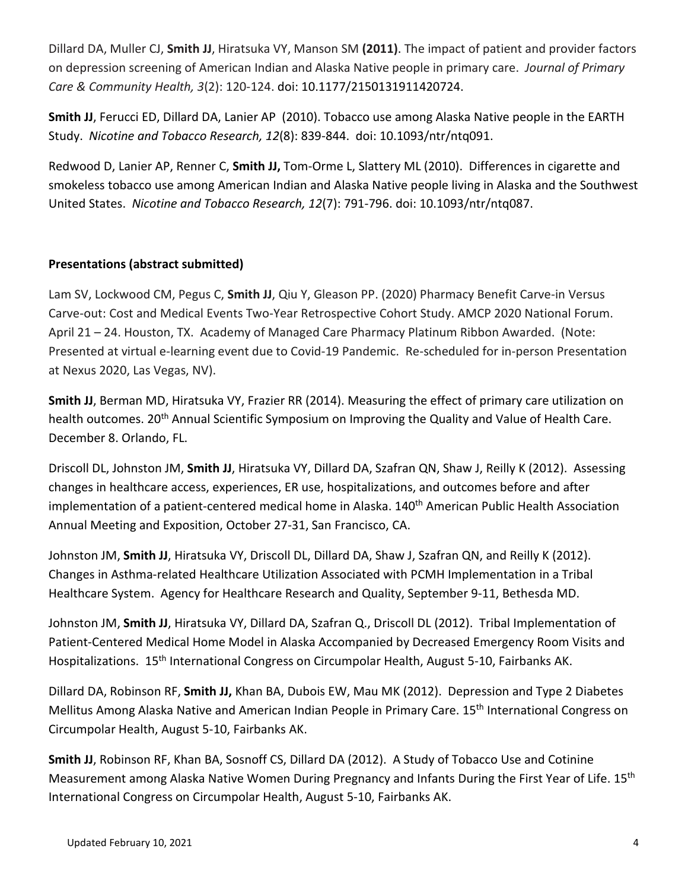Dillard DA, Muller CJ, **Smith JJ**, Hiratsuka VY, Manson SM **(2011)**. The impact of patient and provider factors on depression screening of American Indian and Alaska Native people in primary care. *Journal of Primary Care & Community Health, 3*(2): 120-124. doi: 10.1177/2150131911420724.

**Smith JJ**, Ferucci ED, Dillard DA, Lanier AP (2010). Tobacco use among Alaska Native people in the EARTH Study. *Nicotine and Tobacco Research, 12*(8): 839-844. doi: 10.1093/ntr/ntq091.

Redwood D, Lanier AP, Renner C, **Smith JJ,** Tom-Orme L, Slattery ML (2010). Differences in cigarette and smokeless tobacco use among American Indian and Alaska Native people living in Alaska and the Southwest United States. *Nicotine and Tobacco Research, 12*(7): 791-796. doi: 10.1093/ntr/ntq087.

## **Presentations (abstract submitted)**

Lam SV, Lockwood CM, Pegus C, **Smith JJ**, Qiu Y, Gleason PP. (2020) Pharmacy Benefit Carve-in Versus Carve-out: Cost and Medical Events Two-Year Retrospective Cohort Study. AMCP 2020 National Forum. April 21 – 24. Houston, TX. Academy of Managed Care Pharmacy Platinum Ribbon Awarded. (Note: Presented at virtual e-learning event due to Covid-19 Pandemic. Re-scheduled for in-person Presentation at Nexus 2020, Las Vegas, NV).

**Smith JJ**, Berman MD, Hiratsuka VY, Frazier RR (2014). Measuring the effect of primary care utilization on health outcomes. 20<sup>th</sup> Annual Scientific Symposium on Improving the Quality and Value of Health Care. December 8. Orlando, FL.

Driscoll DL, Johnston JM, **Smith JJ**, Hiratsuka VY, Dillard DA, Szafran QN, Shaw J, Reilly K (2012). Assessing changes in healthcare access, experiences, ER use, hospitalizations, and outcomes before and after implementation of a patient-centered medical home in Alaska. 140<sup>th</sup> American Public Health Association Annual Meeting and Exposition, October 27-31, San Francisco, CA.

Johnston JM, **Smith JJ**, Hiratsuka VY, Driscoll DL, Dillard DA, Shaw J, Szafran QN, and Reilly K (2012). Changes in Asthma-related Healthcare Utilization Associated with PCMH Implementation in a Tribal Healthcare System. Agency for Healthcare Research and Quality, September 9-11, Bethesda MD.

Johnston JM, **Smith JJ**, Hiratsuka VY, Dillard DA, Szafran Q., Driscoll DL (2012). Tribal Implementation of Patient-Centered Medical Home Model in Alaska Accompanied by Decreased Emergency Room Visits and Hospitalizations. 15th International Congress on Circumpolar Health, August 5-10, Fairbanks AK.

Dillard DA, Robinson RF, **Smith JJ,** Khan BA, Dubois EW, Mau MK (2012). Depression and Type 2 Diabetes Mellitus Among Alaska Native and American Indian People in Primary Care. 15<sup>th</sup> International Congress on Circumpolar Health, August 5-10, Fairbanks AK.

**Smith JJ**, Robinson RF, Khan BA, Sosnoff CS, Dillard DA (2012). A Study of Tobacco Use and Cotinine Measurement among Alaska Native Women During Pregnancy and Infants During the First Year of Life. 15<sup>th</sup> International Congress on Circumpolar Health, August 5-10, Fairbanks AK.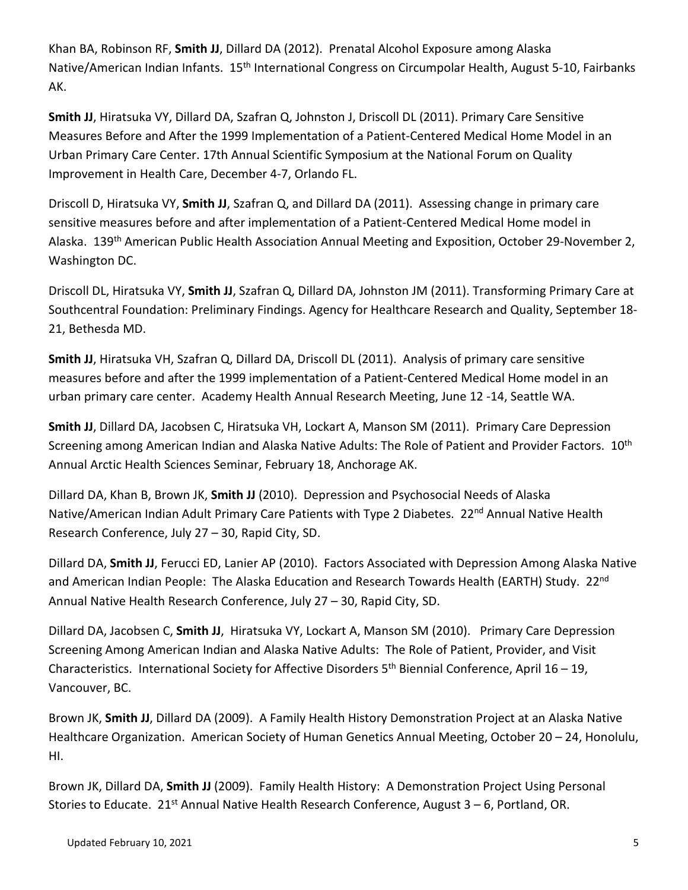Khan BA, Robinson RF, **Smith JJ**, Dillard DA (2012). Prenatal Alcohol Exposure among Alaska Native/American Indian Infants. 15<sup>th</sup> International Congress on Circumpolar Health, August 5-10, Fairbanks AK.

**Smith JJ**, Hiratsuka VY, Dillard DA, Szafran Q, Johnston J, Driscoll DL (2011). Primary Care Sensitive Measures Before and After the 1999 Implementation of a Patient-Centered Medical Home Model in an Urban Primary Care Center. 17th Annual Scientific Symposium at the National Forum on Quality Improvement in Health Care, December 4-7, Orlando FL.

Driscoll D, Hiratsuka VY, **Smith JJ**, Szafran Q, and Dillard DA (2011). Assessing change in primary care sensitive measures before and after implementation of a Patient-Centered Medical Home model in Alaska. 139th American Public Health Association Annual Meeting and Exposition, October 29-November 2, Washington DC.

Driscoll DL, Hiratsuka VY, **Smith JJ**, Szafran Q, Dillard DA, Johnston JM (2011). Transforming Primary Care at Southcentral Foundation: Preliminary Findings. Agency for Healthcare Research and Quality, September 18- 21, Bethesda MD.

**Smith JJ**, Hiratsuka VH, Szafran Q, Dillard DA, Driscoll DL (2011). Analysis of primary care sensitive measures before and after the 1999 implementation of a Patient-Centered Medical Home model in an urban primary care center. Academy Health Annual Research Meeting, June 12 -14, Seattle WA.

**Smith JJ**, Dillard DA, Jacobsen C, Hiratsuka VH, Lockart A, Manson SM (2011). Primary Care Depression Screening among American Indian and Alaska Native Adults: The Role of Patient and Provider Factors. 10<sup>th</sup> Annual Arctic Health Sciences Seminar, February 18, Anchorage AK.

Dillard DA, Khan B, Brown JK, **Smith JJ** (2010). Depression and Psychosocial Needs of Alaska Native/American Indian Adult Primary Care Patients with Type 2 Diabetes. 22<sup>nd</sup> Annual Native Health Research Conference, July 27 – 30, Rapid City, SD.

Dillard DA, **Smith JJ**, Ferucci ED, Lanier AP (2010). Factors Associated with Depression Among Alaska Native and American Indian People: The Alaska Education and Research Towards Health (EARTH) Study. 22<sup>nd</sup> Annual Native Health Research Conference, July 27 – 30, Rapid City, SD.

Dillard DA, Jacobsen C, **Smith JJ**, Hiratsuka VY, Lockart A, Manson SM (2010). Primary Care Depression Screening Among American Indian and Alaska Native Adults: The Role of Patient, Provider, and Visit Characteristics. International Society for Affective Disorders 5th Biennial Conference, April 16 – 19, Vancouver, BC.

Brown JK, **Smith JJ**, Dillard DA (2009). A Family Health History Demonstration Project at an Alaska Native Healthcare Organization. American Society of Human Genetics Annual Meeting, October 20 – 24, Honolulu, HI.

Brown JK, Dillard DA, **Smith JJ** (2009). Family Health History: A Demonstration Project Using Personal Stories to Educate. 21<sup>st</sup> Annual Native Health Research Conference, August  $3 - 6$ , Portland, OR.